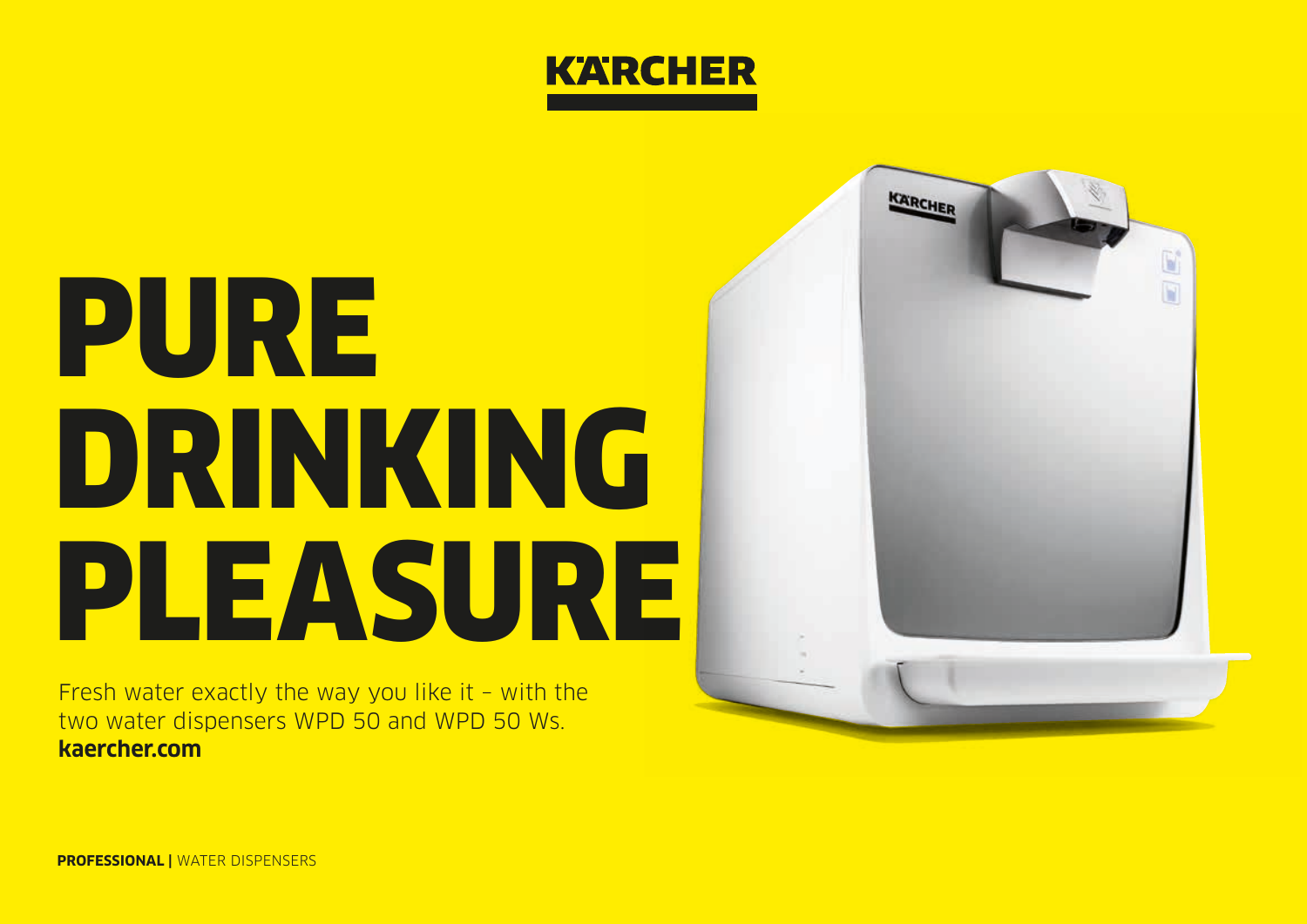

# PURE DRINKING PLEASURE

Fresh water exactly the way you like it – with the two water dispensers WPD 50 and WPD 50 Ws. **kaercher.com**



**PROFESSIONAL |** WATER DISPENSERS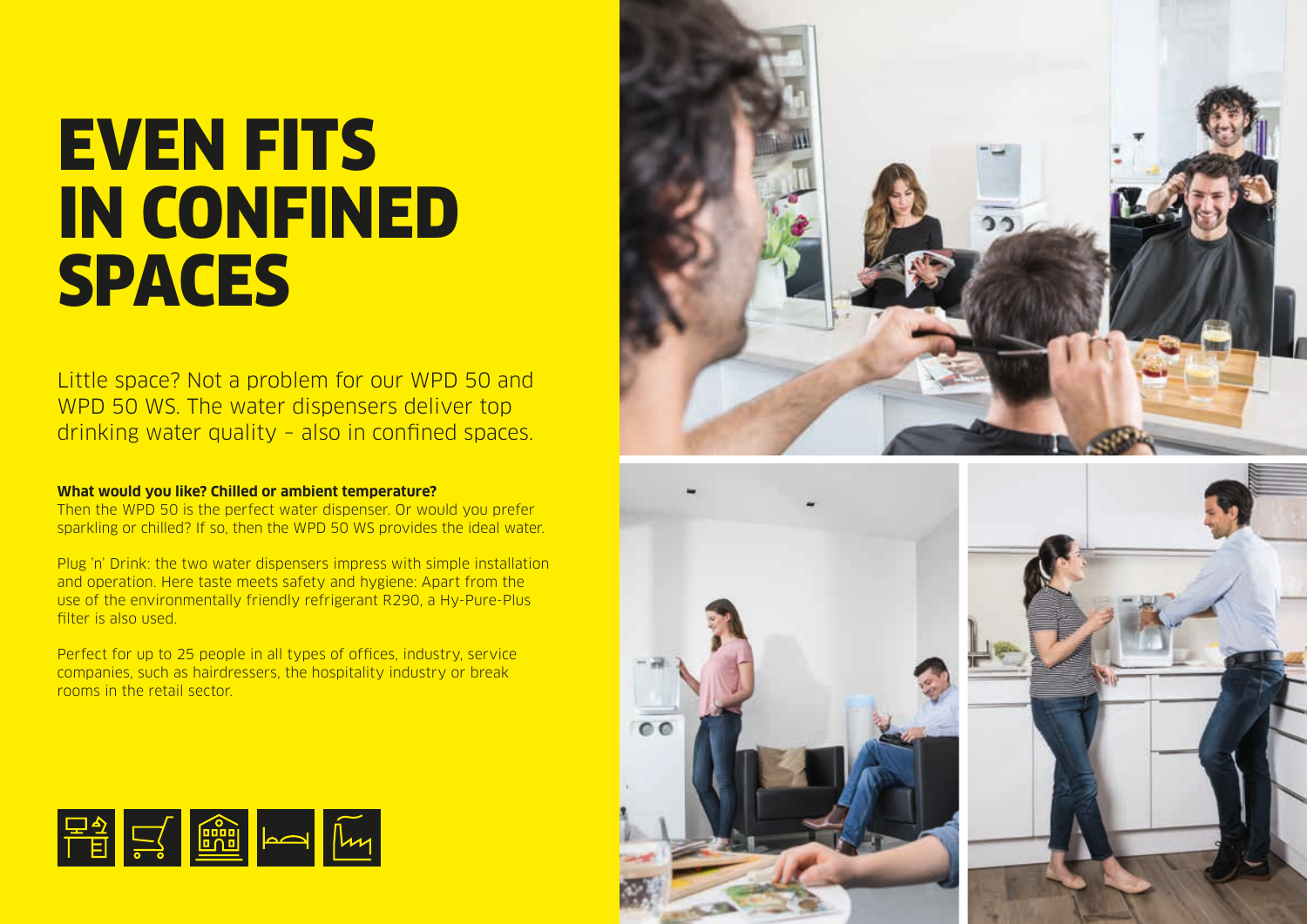### EVEN FITS IN CONFINED SPACES

Little space? Not a problem for our WPD 50 and WPD 50 WS. The water dispensers deliver top drinking water quality – also in confined spaces.

### **What would you like? Chilled or ambient temperature?**

Then the WPD 50 is the perfect water dispenser. Or would you prefer sparkling or chilled? If so, then the WPD 50 WS provides the ideal water.

Plug 'n' Drink: the two water dispensers impress with simple installation and operation. Here taste meets safety and hygiene: Apart from the use of the environmentally friendly refrigerant R290, a Hy-Pure-Plus filter is also used.

Perfect for up to 25 people in all types of offices, industry, service companies, such as hairdressers, the hospitality industry or break rooms in the retail sector.







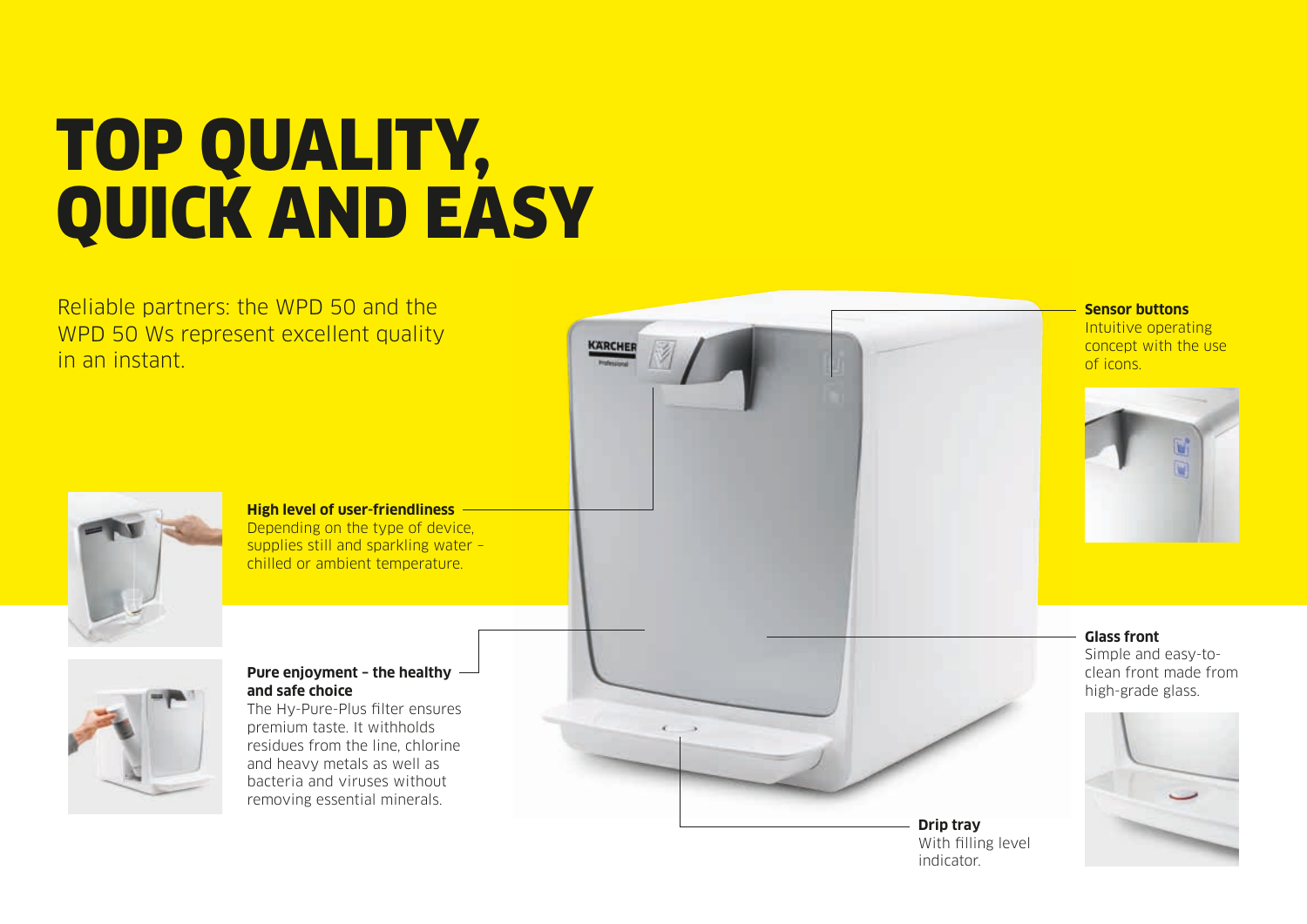# TOP QUALITY, QUICK AND EASY

Reliable partners: the WPD 50 and the WPD 50 Ws represent excellent quality in an instant.



#### **High level of user-friendliness** Depending on the type of device, supplies still and sparkling water – chilled or ambient temperature.



### **Pure enjoyment – the healthy and safe choice**

The Hy-Pure-Plus filter ensures premium taste. It withholds residues from the line, chlorine and heavy metals as well as bacteria and viruses without removing essential minerals.



KARCHER

**Sensor buttons** Intuitive operating concept with the use of icons.



**Glass front** Simple and easy-toclean front made from high-grade glass.



**Drip tray** With filling level indicator.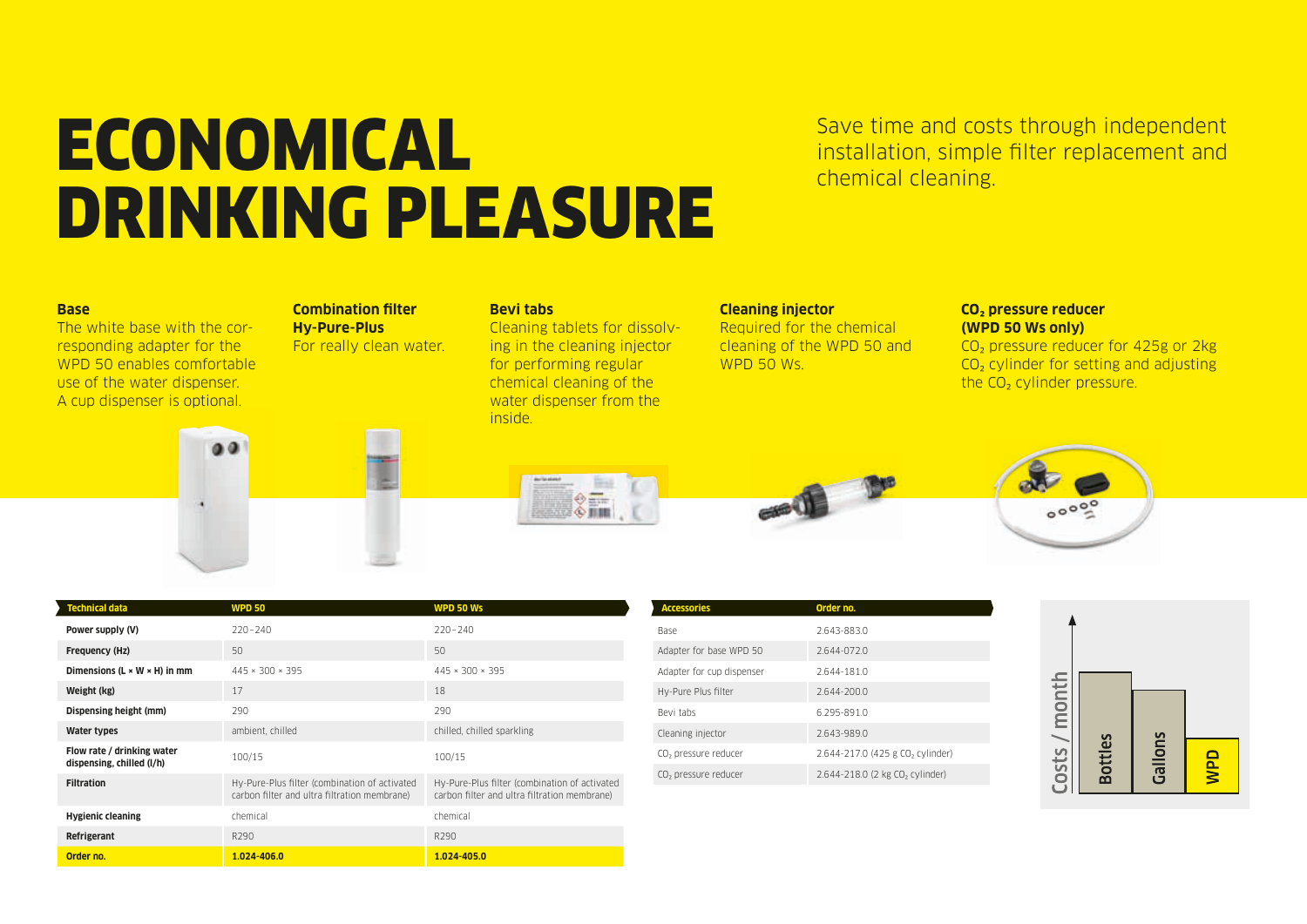### **ECONOMICAL** Save time and costs through independent<br>
chemical cleaning. DRINKING PLEASURE

Save time and costs through independent

#### **Base**

The white base with the corresponding adapter for the WPD 50 enables comfortable use of the water dispenser. A cup dispenser is optional.

#### **Combination filter Hy-Pure-Plus** For really clean water.

**Bevi tabs** Cleaning tablets for dissolving in the cleaning injector for performing regular chemical cleaning of the water dispenser from the inside.

### **Cleaning injector**

Required for the chemical cleaning of the WPD 50 and WPD 50 Ws.

#### **CO₂ pressure reducer (WPD 50 Ws only)**

CO<sub>2</sub> pressure reducer for 425g or 2kg CO<sub>2</sub> cylinder for setting and adjusting the CO<sub>2</sub> cylinder pressure.









| rechnical data                                          | WPD 50                                                                                        | WPD 50 Ws                                                                                     |
|---------------------------------------------------------|-----------------------------------------------------------------------------------------------|-----------------------------------------------------------------------------------------------|
| Power supply (V)                                        | $220 - 240$                                                                                   | $220 - 240$                                                                                   |
| Frequency (Hz)                                          | 50                                                                                            | 50                                                                                            |
| Dimensions ( $L \times W \times H$ ) in mm              | $445 \times 300 \times 395$                                                                   | $445 \times 300 \times 395$                                                                   |
| Weight (kg)                                             | 17                                                                                            | 18                                                                                            |
| Dispensing height (mm)                                  | 290                                                                                           | 290                                                                                           |
| Water types                                             | ambient, chilled                                                                              | chilled, chilled sparkling                                                                    |
| Flow rate / drinking water<br>dispensing, chilled (I/h) | 100/15                                                                                        | 100/15                                                                                        |
| <b>Filtration</b>                                       | Hy-Pure-Plus filter (combination of activated<br>carbon filter and ultra filtration membrane) | Hy-Pure-Plus filter (combination of activated<br>carbon filter and ultra filtration membrane) |
| <b>Hygienic cleaning</b>                                | chemical                                                                                      | chemical                                                                                      |
| Refrigerant                                             | R <sub>290</sub>                                                                              | R290                                                                                          |
| Order no.                                               | $1.024 - 406.0$                                                                               | 1.024-405.0                                                                                   |

| <b>Accessories</b>               | Order no.                                    |
|----------------------------------|----------------------------------------------|
| Base                             | 2.643-883.0                                  |
| Adapter for base WPD 50          | $2.644 - 072.0$                              |
| Adapter for cup dispenser        | 2.644-181.0                                  |
| Hy-Pure Plus filter              | 2.644-200.0                                  |
| Bevi tabs                        | 6.295-891.0                                  |
| Cleaning injector                | 2.643-989.0                                  |
| CO <sub>2</sub> pressure reducer | 2.644-217.0 (425 g CO <sub>2</sub> cylinder) |
| CO <sub>2</sub> pressure reducer | 2.644-218.0 (2 kg CO <sub>2</sub> cylinder)  |
|                                  |                                              |